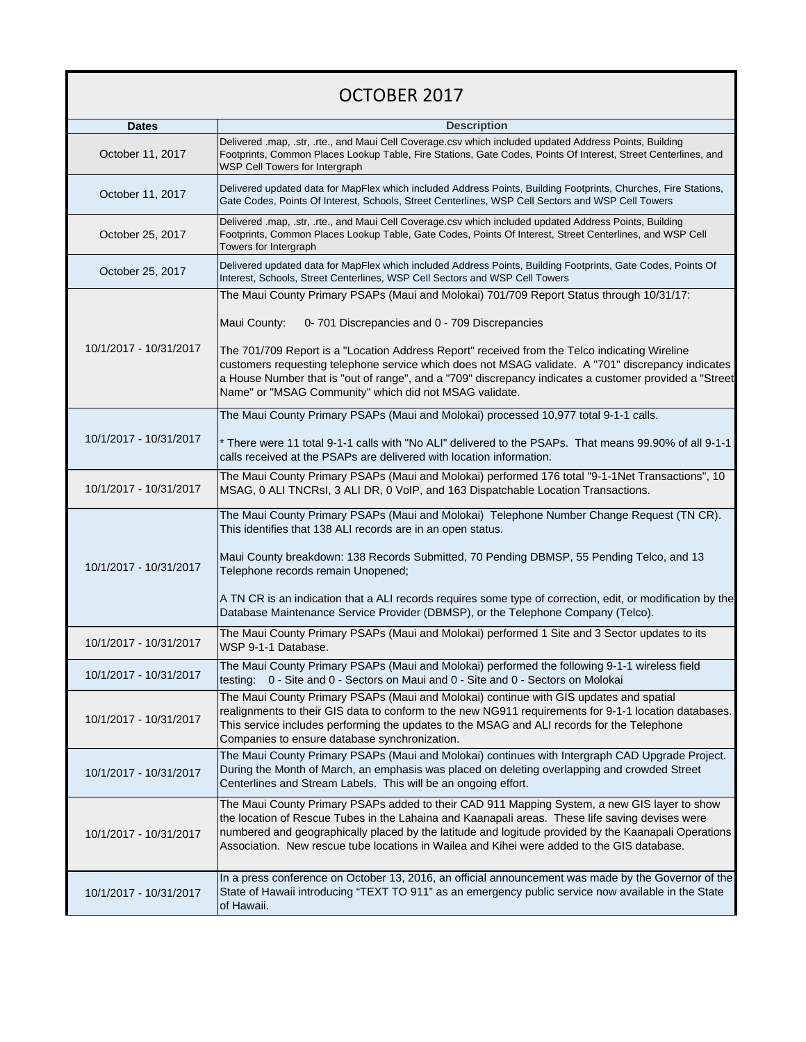## OCTOBER 2017

| <b>Dates</b>           | <b>Description</b>                                                                                                                                                                                                                                                                                                                                                                                    |
|------------------------|-------------------------------------------------------------------------------------------------------------------------------------------------------------------------------------------------------------------------------------------------------------------------------------------------------------------------------------------------------------------------------------------------------|
| October 11, 2017       | Delivered .map, .str, .rte., and Maui Cell Coverage.csv which included updated Address Points, Building<br>Footprints, Common Places Lookup Table, Fire Stations, Gate Codes, Points Of Interest, Street Centerlines, and<br>WSP Cell Towers for Intergraph                                                                                                                                           |
| October 11, 2017       | Delivered updated data for MapFlex which included Address Points, Building Footprints, Churches, Fire Stations,<br>Gate Codes, Points Of Interest, Schools, Street Centerlines, WSP Cell Sectors and WSP Cell Towers                                                                                                                                                                                  |
| October 25, 2017       | Delivered .map, .str, .rte., and Maui Cell Coverage.csv which included updated Address Points, Building<br>Footprints, Common Places Lookup Table, Gate Codes, Points Of Interest, Street Centerlines, and WSP Cell<br>Towers for Intergraph                                                                                                                                                          |
| October 25, 2017       | Delivered updated data for MapFlex which included Address Points, Building Footprints, Gate Codes, Points Of<br>Interest, Schools, Street Centerlines, WSP Cell Sectors and WSP Cell Towers                                                                                                                                                                                                           |
|                        | The Maui County Primary PSAPs (Maui and Molokai) 701/709 Report Status through 10/31/17:                                                                                                                                                                                                                                                                                                              |
|                        | 0-701 Discrepancies and 0 - 709 Discrepancies<br>Maui County:                                                                                                                                                                                                                                                                                                                                         |
| 10/1/2017 - 10/31/2017 | The 701/709 Report is a "Location Address Report" received from the Telco indicating Wireline<br>customers requesting telephone service which does not MSAG validate. A "701" discrepancy indicates<br>a House Number that is "out of range", and a "709" discrepancy indicates a customer provided a "Street<br>Name" or "MSAG Community" which did not MSAG validate.                               |
|                        | The Maui County Primary PSAPs (Maui and Molokai) processed 10,977 total 9-1-1 calls.                                                                                                                                                                                                                                                                                                                  |
| 10/1/2017 - 10/31/2017 | * There were 11 total 9-1-1 calls with "No ALI" delivered to the PSAPs. That means 99.90% of all 9-1-1<br>calls received at the PSAPs are delivered with location information.                                                                                                                                                                                                                        |
| 10/1/2017 - 10/31/2017 | The Maui County Primary PSAPs (Maui and Molokai) performed 176 total "9-1-1Net Transactions", 10<br>MSAG, 0 ALI TNCRsI, 3 ALI DR, 0 VoIP, and 163 Dispatchable Location Transactions.                                                                                                                                                                                                                 |
|                        | The Maui County Primary PSAPs (Maui and Molokai) Telephone Number Change Request (TN CR).<br>This identifies that 138 ALI records are in an open status.                                                                                                                                                                                                                                              |
| 10/1/2017 - 10/31/2017 | Maui County breakdown: 138 Records Submitted, 70 Pending DBMSP, 55 Pending Telco, and 13<br>Telephone records remain Unopened;                                                                                                                                                                                                                                                                        |
|                        | A TN CR is an indication that a ALI records requires some type of correction, edit, or modification by the<br>Database Maintenance Service Provider (DBMSP), or the Telephone Company (Telco).                                                                                                                                                                                                        |
| 10/1/2017 - 10/31/2017 | The Maui County Primary PSAPs (Maui and Molokai) performed 1 Site and 3 Sector updates to its<br>WSP 9-1-1 Database.                                                                                                                                                                                                                                                                                  |
| 10/1/2017 - 10/31/2017 | The Maui County Primary PSAPs (Maui and Molokai) performed the following 9-1-1 wireless field<br>testing: 0 - Site and 0 - Sectors on Maui and 0 - Site and 0 - Sectors on Molokai                                                                                                                                                                                                                    |
| 10/1/2017 - 10/31/2017 | The Maui County Primary PSAPs (Maui and Molokai) continue with GIS updates and spatial<br>realignments to their GIS data to conform to the new NG911 requirements for 9-1-1 location databases.<br>This service includes performing the updates to the MSAG and ALI records for the Telephone<br>Companies to ensure database synchronization.                                                        |
| 10/1/2017 - 10/31/2017 | The Maui County Primary PSAPs (Maui and Molokai) continues with Intergraph CAD Upgrade Project.<br>During the Month of March, an emphasis was placed on deleting overlapping and crowded Street<br>Centerlines and Stream Labels. This will be an ongoing effort.                                                                                                                                     |
| 10/1/2017 - 10/31/2017 | The Maui County Primary PSAPs added to their CAD 911 Mapping System, a new GIS layer to show<br>the location of Rescue Tubes in the Lahaina and Kaanapali areas. These life saving devises were<br>numbered and geographically placed by the latitude and logitude provided by the Kaanapali Operations<br>Association. New rescue tube locations in Wailea and Kihei were added to the GIS database. |
| 10/1/2017 - 10/31/2017 | In a press conference on October 13, 2016, an official announcement was made by the Governor of the<br>State of Hawaii introducing "TEXT TO 911" as an emergency public service now available in the State<br>of Hawaii.                                                                                                                                                                              |